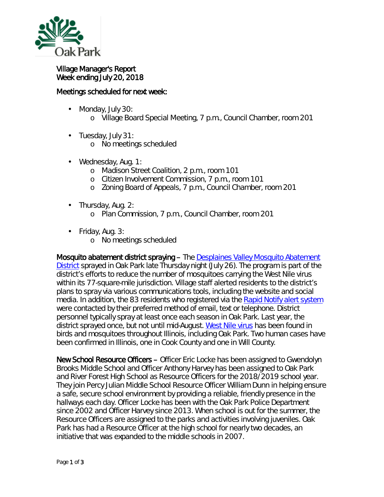

## Village Manager's Report Week ending July 20, 2018

## Meetings scheduled for next week:

- Monday, July 30: ä,
	- o Village Board Special Meeting, 7 p.m., Council Chamber, room 201
- ä, Tuesday, July 31:
	- o No meetings scheduled
- Wednesday, Aug. 1: ä,
	- o Madison Street Coalition, 2 p.m., room 101
	- o Citizen Involvement Commission, 7 p.m., room 101
	- o Zoning Board of Appeals, 7 p.m., Council Chamber, room 201
- Thursday, Aug. 2:  $\mathbf{r}$ o Plan Commission, 7 p.m., Council Chamber, room 201
- Friday, Aug. 3:
	- o No meetings scheduled

Mosquito abatement district spraying – The Desplaines Valley Mosquito Abatement [District](http://r20.rs6.net/tn.jsp?f=0014OOqHSVLnrkYS-OA1srFxuLnKkZkoXYvESILa3y76v27Vg5ORO_O8JfUgs6nA2gh1-BFAidI7WVYw8m70zUMYPU8Bgsu1-VIK5RUgt6_JmoG1CsBk6HFj_lH_B0-by5KJQ0YwFcXYrixS46YU7fp45aXdNkQFdS9B7vDYR4FLi5chS5vBpBFN2OXWw0vx7GQ6cz1N-1CORxSIoVI4J2pvG45agq6aJpZNo3-QyTxYPIWa3JXtADkyPAiZxL1zlUMvdJVKmqb0k6smiRPN-DqUofsBMZtXtsCFC433OOYmAg=&c=9NGoR2TAahZGFtmrcMGgTVWZswwjdxlp_h6uYp-CQsIH5YF7KudFMw==&ch=WoQhynC9UUOQgdRNjahu6B5JPOqoXyt9BG0snsG1i5Pg3z2J2oF_dw==) sprayed in Oak Park late Thursday night (July 26). The program is part of the district's efforts to reduce the number of mosquitoes carrying the West Nile virus within its 77-square-mile jurisdiction. Village staff alerted residents to the district's plans to spray via various communications tools, including the website and social media. In addition, the 83 residents who registered via the [Rapid Notify alert system](https://www.oak-park.us/online-services/community-notification-system) were contacted by their preferred method of email, text or telephone. District personnel typically spray at least once each season in Oak Park. Last year, the district sprayed once, but not until mid-August. [West Nile virus](http://r20.rs6.net/tn.jsp?f=0014OOqHSVLnrkYS-OA1srFxuLnKkZkoXYvESILa3y76v27Vg5ORO_O8LxjPtzcxyqVmNjrq0MdKbHuUa-Q_BGgMwYf4NxOjzhHNZt1NatUrlqanjc_JvJwgnyIfRS3XNwPt3kXAbJIEe5Szs1m7Bz26zzQU7wazRIInaASSTdN1gONw0Rf-dj9PkzjszBqVJrmk5KxSJ1KagmdGa0yCCIDqgR_CTWF9V-vAHp0HIlk1tFmGIpLmiwssaB-RF7JueUdhsx4tcp1D9918wqtMf_Ix5xaUdJwTC_d38Su3fjIfuv4rg52wzwDEbbOo7EOwaEj0o8oxfxr8LBjoYfuVLhFeX_FCr57a81J&c=9NGoR2TAahZGFtmrcMGgTVWZswwjdxlp_h6uYp-CQsIH5YF7KudFMw==&ch=WoQhynC9UUOQgdRNjahu6B5JPOqoXyt9BG0snsG1i5Pg3z2J2oF_dw==) has been found in birds and mosquitoes throughout Illinois, including Oak Park. Two human cases have been confirmed in Illinois, one in Cook County and one in Will County.

New School Resource Officers – Officer Eric Locke has been assigned to Gwendolyn Brooks Middle School and Officer Anthony Harvey has been assigned to Oak Park and River Forest High School as Resource Officers for the 2018/2019 school year. They join Percy Julian Middle School Resource Officer William Dunn in helping ensure a safe, secure school environment by providing a reliable, friendly presence in the hallways each day. Officer Locke has been with the Oak Park Police Department since 2002 and Officer Harvey since 2013. When school is out for the summer, the Resource Officers are assigned to the parks and activities involving juveniles. Oak Park has had a Resource Officer at the high school for nearly two decades, an initiative that was expanded to the middle schools in 2007.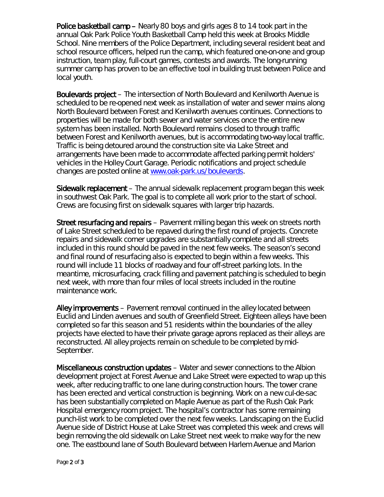Police basketball camp – Nearly 80 boys and girls ages 8 to 14 took part in the annual Oak Park Police Youth Basketball Camp held this week at Brooks Middle School. Nine members of the Police Department, including several resident beat and school resource officers, helped run the camp, which featured one-on-one and group instruction, team play, full-court games, contests and awards. The long-running summer camp has proven to be an effective tool in building trust between Police and local youth.

Boulevards project – The intersection of North Boulevard and Kenilworth Avenue is scheduled to be re-opened next week as installation of water and sewer mains along North Boulevard between Forest and Kenilworth avenues continues. Connections to properties will be made for both sewer and water services once the entire new system has been installed. North Boulevard remains closed to through traffic between Forest and Kenilworth avenues, but is accommodating two-way local traffic. Traffic is being detoured around the construction site via Lake Street and arrangements have been made to accommodate affected parking permit holders' vehicles in the Holley Court Garage. Periodic notifications and project schedule changes are posted online at [www.oak-park.us/boulevards.](http://www.oak-park.us/boulevards)

Sidewalk replacement – The annual sidewalk replacement program began this week in southwest Oak Park. The goal is to complete all work prior to the start of school. Crews are focusing first on sidewalk squares with larger trip hazards.

Street resurfacing and repairs – Pavement milling began this week on streets north of Lake Street scheduled to be repaved during the first round of projects. Concrete repairs and sidewalk corner upgrades are substantially complete and all streets included in this round should be paved in the next few weeks. The season's second and final round of resurfacing also is expected to begin within a few weeks. This round will include 11 blocks of roadway and four off-street parking lots. In the meantime, microsurfacing, crack filling and pavement patching is scheduled to begin next week, with more than four miles of local streets included in the routine maintenance work.

Alley improvements – Pavement removal continued in the alley located between Euclid and Linden avenues and south of Greenfield Street. Eighteen alleys have been completed so far this season and 51 residents within the boundaries of the alley projects have elected to have their private garage aprons replaced as their alleys are reconstructed. All alley projects remain on schedule to be completed by mid-September.

Miscellaneous construction updates – Water and sewer connections to the Albion development project at Forest Avenue and Lake Street were expected to wrap up this week, after reducing traffic to one lane during construction hours. The tower crane has been erected and vertical construction is beginning. Work on a new cul-de-sac has been substantially completed on Maple Avenue as part of the Rush Oak Park Hospital emergency room project. The hospital's contractor has some remaining punch-list work to be completed over the next few weeks. Landscaping on the Euclid Avenue side of District House at Lake Street was completed this week and crews will begin removing the old sidewalk on Lake Street next week to make way for the new one. The eastbound lane of South Boulevard between Harlem Avenue and Marion